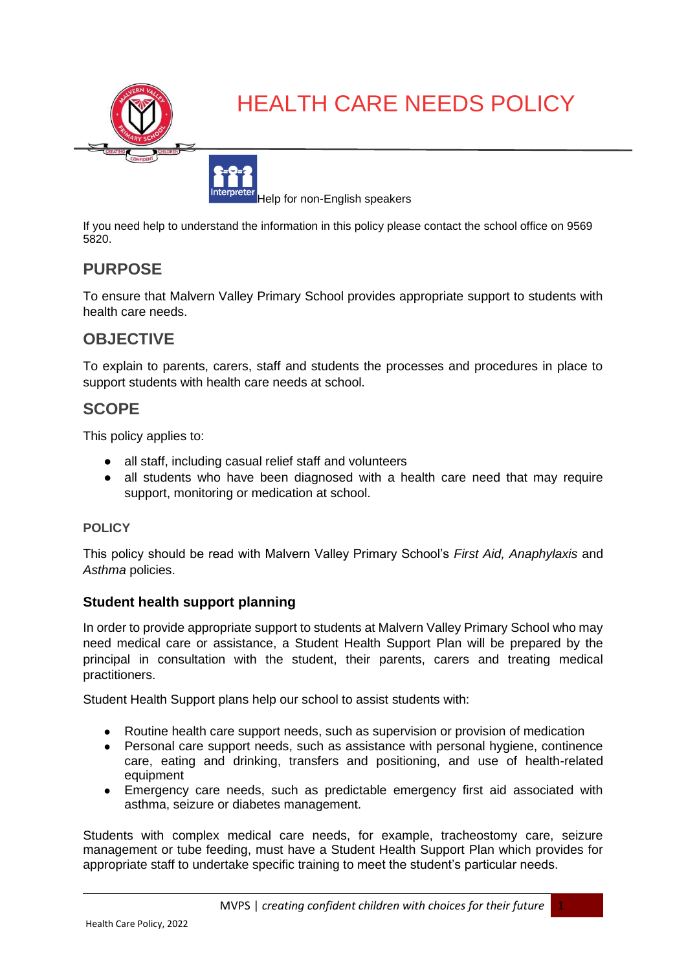

# HEALTH CARE NEEDS POLICY



If you need help to understand the information in this policy please contact the school office on 9569 5820.

## **PURPOSE**

To ensure that Malvern Valley Primary School provides appropriate support to students with health care needs.

## **OBJECTIVE**

To explain to parents, carers, staff and students the processes and procedures in place to support students with health care needs at school.

## **SCOPE**

This policy applies to:

- all staff, including casual relief staff and volunteers
- all students who have been diagnosed with a health care need that may require support, monitoring or medication at school.

#### **POLICY**

This policy should be read with Malvern Valley Primary School's *First Aid, Anaphylaxis* and *Asthma* policies.

#### **Student health support planning**

In order to provide appropriate support to students at Malvern Valley Primary School who may need medical care or assistance, a Student Health Support Plan will be prepared by the principal in consultation with the student, their parents, carers and treating medical practitioners.

Student Health Support plans help our school to assist students with:

- Routine health care support needs, such as supervision or provision of medication
- Personal care support needs, such as assistance with personal hygiene, continence care, eating and drinking, transfers and positioning, and use of health-related equipment
- Emergency care needs, such as predictable emergency first aid associated with asthma, seizure or diabetes management.

Students with complex medical care needs, for example, tracheostomy care, seizure management or tube feeding, must have a Student Health Support Plan which provides for appropriate staff to undertake specific training to meet the student's particular needs.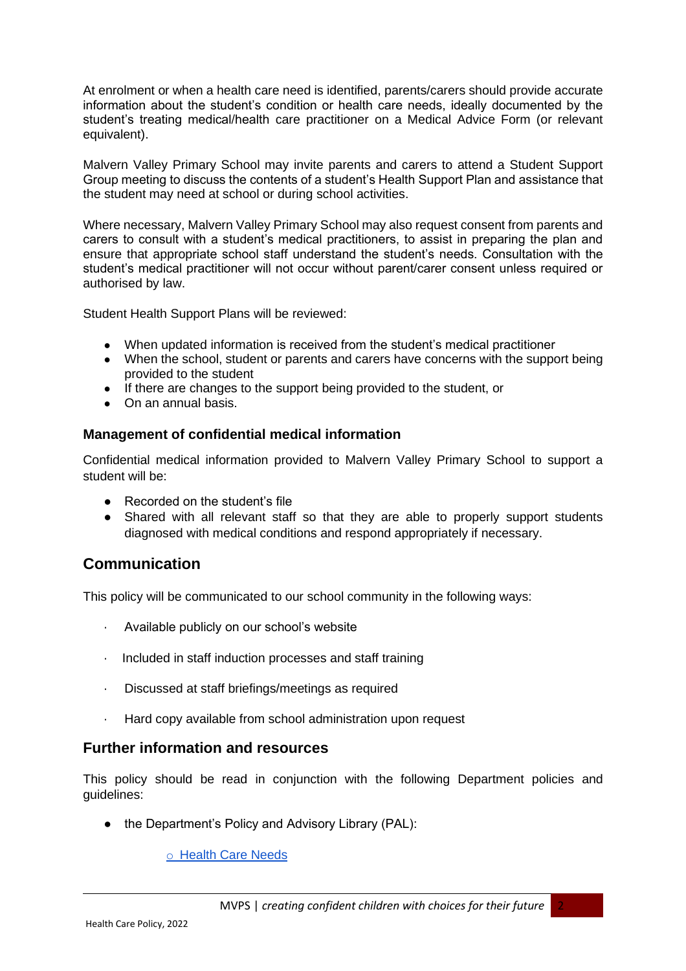At enrolment or when a health care need is identified, parents/carers should provide accurate information about the student's condition or health care needs, ideally documented by the student's treating medical/health care practitioner on a Medical Advice Form (or relevant equivalent).

Malvern Valley Primary School may invite parents and carers to attend a Student Support Group meeting to discuss the contents of a student's Health Support Plan and assistance that the student may need at school or during school activities.

Where necessary, Malvern Valley Primary School may also request consent from parents and carers to consult with a student's medical practitioners, to assist in preparing the plan and ensure that appropriate school staff understand the student's needs. Consultation with the student's medical practitioner will not occur without parent/carer consent unless required or authorised by law.

Student Health Support Plans will be reviewed:

- When updated information is received from the student's medical practitioner
- When the school, student or parents and carers have concerns with the support being provided to the student
- If there are changes to the support being provided to the student, or
- On an annual basis.

#### **Management of confidential medical information**

Confidential medical information provided to Malvern Valley Primary School to support a student will be:

- Recorded on the student's file
- Shared with all relevant staff so that they are able to properly support students diagnosed with medical conditions and respond appropriately if necessary.

### **Communication**

This policy will be communicated to our school community in the following ways:

- · Available publicly on our school's website
- · Included in staff induction processes and staff training
- · Discussed at staff briefings/meetings as required
- · Hard copy available from school administration upon request

#### **Further information and resources**

This policy should be read in conjunction with the following Department policies and guidelines:

• the Department's Policy and Advisory Library (PAL):

o [Health Care Needs](https://www2.education.vic.gov.au/pal/health-care-needs/policy)